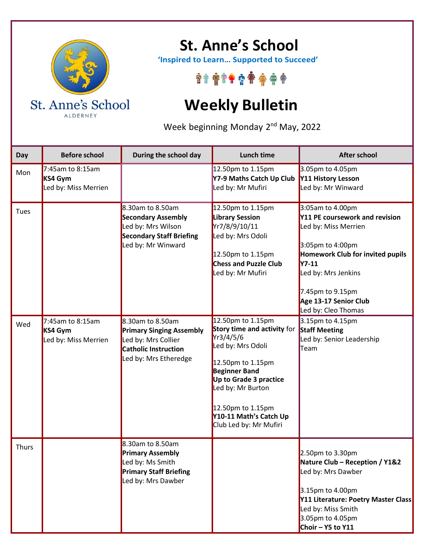

ALDERNEY

## **St. Anne's School**

 **'Inspired to Learn… Supported to Succeed'**

\*\*\*\*\*\*\*\*\*\*

## **Weekly Bulletin**

Week beginning Monday 2<sup>nd</sup> May, 2022

| Day          | <b>Before school</b>                                | During the school day                                                                                                        | <b>Lunch time</b>                                                                                                                                                                                                                                       | <b>After school</b>                                                                                                                                                                                                                           |
|--------------|-----------------------------------------------------|------------------------------------------------------------------------------------------------------------------------------|---------------------------------------------------------------------------------------------------------------------------------------------------------------------------------------------------------------------------------------------------------|-----------------------------------------------------------------------------------------------------------------------------------------------------------------------------------------------------------------------------------------------|
| Mon          | 7:45am to 8:15am<br>KS4 Gym<br>Led by: Miss Merrien |                                                                                                                              | 12.50pm to 1.15pm<br>Y7-9 Maths Catch Up Club<br>Led by: Mr Mufiri                                                                                                                                                                                      | 3.05pm to 4.05pm<br>Y11 History Lesson<br>Led by: Mr Winward                                                                                                                                                                                  |
| Tues         |                                                     | 8.30am to 8.50am<br><b>Secondary Assembly</b><br>Led by: Mrs Wilson<br><b>Secondary Staff Briefing</b><br>Led by: Mr Winward | 12.50pm to 1.15pm<br><b>Library Session</b><br>Yr7/8/9/10/11<br>Led by: Mrs Odoli<br>12.50pm to 1.15pm<br><b>Chess and Puzzle Club</b><br>Led by: Mr Mufiri                                                                                             | 3:05am to 4.00pm<br>Y11 PE coursework and revision<br>Led by: Miss Merrien<br>3:05pm to 4:00pm<br>Homework Club for invited pupils<br><b>Y7-11</b><br>Led by: Mrs Jenkins<br>7.45pm to 9.15pm<br>Age 13-17 Senior Club<br>Led by: Cleo Thomas |
| Wed          | 7:45am to 8:15am<br>KS4 Gym<br>Led by: Miss Merrien | 8.30am to 8.50am<br><b>Primary Singing Assembly</b><br>Led by: Mrs Collier<br>Catholic Instruction<br>Led by: Mrs Etheredge  | 12.50pm to 1.15pm<br>Story time and activity for<br>Yr3/4/5/6<br>Led by: Mrs Odoli<br>12.50pm to 1.15pm<br><b>Beginner Band</b><br>Up to Grade 3 practice<br>Led by: Mr Burton<br>12.50pm to 1.15pm<br>Y10-11 Math's Catch Up<br>Club Led by: Mr Mufiri | 3.15pm to 4.15pm<br><b>Staff Meeting</b><br>Led by: Senior Leadership<br>Team                                                                                                                                                                 |
| <b>Thurs</b> |                                                     | 8.30am to 8.50am<br><b>Primary Assembly</b><br>Led by: Ms Smith<br><b>Primary Staff Briefing</b><br>Led by: Mrs Dawber       |                                                                                                                                                                                                                                                         | 2.50pm to 3.30pm<br>Nature Club - Reception / Y1&2<br>Led by: Mrs Dawber<br>3.15pm to 4.00pm<br>Y11 Literature: Poetry Master Class<br>Led by: Miss Smith<br>3.05pm to 4.05pm<br>Choir $-$ Y5 to Y11                                          |